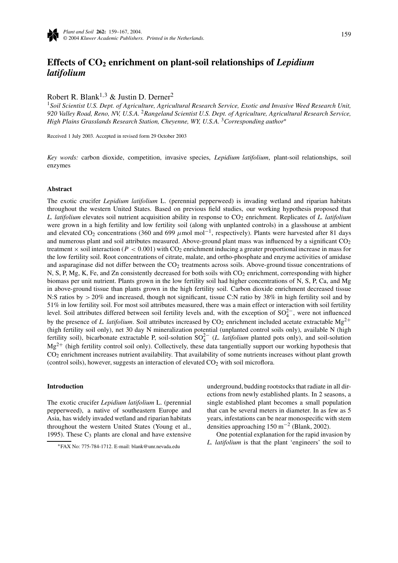

# **Effects of CO2 enrichment on plant-soil relationships of** *Lepidium latifolium*

Robert R. Blank<sup>1,3</sup> & Justin D. Derner<sup>2</sup>

<sup>1</sup>*Soil Scientist U.S. Dept. of Agriculture, Agricultural Research Service, Exotic and Invasive Weed Research Unit, 920 Valley Road, Reno, NV, U.S.A.* <sup>2</sup>*Rangeland Scientist U.S. Dept. of Agriculture, Agricultural Research Service, High Plains Grasslands Research Station, Cheyenne, WY, U.S.A.* <sup>3</sup>*Corresponding author*<sup>∗</sup>

Received 1 July 2003. Accepted in revised form 29 October 2003

*Key words:* carbon dioxide, competition, invasive species, *Lepidium latifolium*, plant-soil relationships, soil enzymes

#### **Abstract**

The exotic crucifer *Lepidium latifolium* L. (perennial pepperweed) is invading wetland and riparian habitats throughout the western United States. Based on previous field studies, our working hypothesis proposed that *L. latifolium* elevates soil nutrient acquisition ability in response to  $CO<sub>2</sub>$  enrichment. Replicates of *L. latifolium* were grown in a high fertility and low fertility soil (along with unplanted controls) in a glasshouse at ambient and elevated CO<sub>2</sub> concentrations (360 and 699 *μ*mol mol<sup>-1</sup>, respectively). Plants were harvested after 81 days and numerous plant and soil attributes measured. Above-ground plant mass was influenced by a significant CO<sub>2</sub> treatment  $\times$  soil interaction ( $P < 0.001$ ) with CO<sub>2</sub> enrichment inducing a greater proportional increase in mass for the low fertility soil. Root concentrations of citrate, malate, and ortho-phosphate and enzyme activities of amidase and asparaginase did not differ between the CO<sub>2</sub> treatments across soils. Above-ground tissue concentrations of N, S, P, Mg, K, Fe, and Zn consistently decreased for both soils with CO<sub>2</sub> enrichment, corresponding with higher biomass per unit nutrient. Plants grown in the low fertility soil had higher concentrations of N, S, P, Ca, and Mg in above-ground tissue than plants grown in the high fertility soil. Carbon dioxide enrichment decreased tissue N:S ratios by  $>$  20% and increased, though not significant, tissue C:N ratio by 38% in high fertility soil and by 51% in low fertility soil. For most soil attributes measured, there was a main effect or interaction with soil fertility level. Soil attributes differed between soil fertility levels and, with the exception of  $SO_4^{2-}$ , were not influenced by the presence of *L. latifolium*. Soil attributes increased by  $CO_2$  enrichment included acetate extractable  $Mg^{2+}$ (high fertility soil only), net 30 day N mineralization potential (unplanted control soils only), available N (high fertility soil), bicarbonate extractable P, soil-solution  $SO_4^{2-}$  (*L. latifolium* planted pots only), and soil-solution  $Mg^{2+}$  (high fertility control soil only). Collectively, these data tangentially support our working hypothesis that CO2 enrichment increases nutrient availability. That availability of some nutrients increases without plant growth (control soils), however, suggests an interaction of elevated  $CO<sub>2</sub>$  with soil microflora.

## **Introduction**

The exotic crucifer *Lepidium latifolium* L. (perennial pepperweed), a native of southeastern Europe and Asia, has widely invaded wetland and riparian habitats throughout the western United States (Young et al., 1995). These  $C_3$  plants are clonal and have extensive underground, budding rootstocks that radiate in all directions from newly established plants. In 2 seasons, a single established plant becomes a small population that can be several meters in diameter. In as few as 5 years, infestations can be near monospecific with stem densities approaching  $150 \text{ m}^{-2}$  (Blank, 2002).

One potential explanation for the rapid invasion by *L. latifolium* is that the plant 'engineers' the soil to

<sup>∗</sup>FAX No: 775-784-1712. E-mail: blank@unr.nevada.edu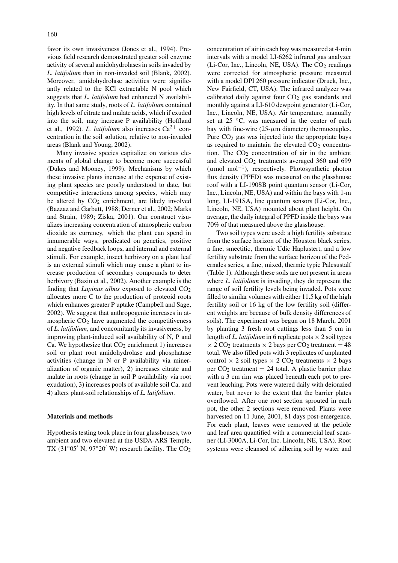favor its own invasiveness (Jones et al., 1994). Previous field research demonstrated greater soil enzyme activity of several amidohydrolases in soils invaded by *L. latifolium* than in non-invaded soil (Blank, 2002). Moreover, amidohydrolase activities were significantly related to the KCl extractable N pool which suggests that *L. latifolium* had enhanced N availability. In that same study, roots of *L. latifolium* contained high levels of citrate and malate acids, which if exuded into the soil, may increase P availability (Hoffland et al., 1992). *L. latifolium* also increases  $Ca^{2+}$  concentration in the soil solution, relative to non-invaded areas (Blank and Young, 2002).

Many invasive species capitalize on various elements of global change to become more successful (Dukes and Mooney, 1999). Mechanisms by which these invasive plants increase at the expense of existing plant species are poorly understood to date, but competitive interactions among species, which may be altered by  $CO<sub>2</sub>$  enrichment, are likely involved (Bazzaz and Garbutt, 1988; Derner et al., 2002; Marks and Strain, 1989; Ziska, 2001). Our construct visualizes increasing concentration of atmospheric carbon dioxide as currency, which the plant can spend in innumerable ways, predicated on genetics, positive and negative feedback loops, and internal and external stimuli. For example, insect herbivory on a plant leaf is an external stimuli which may cause a plant to increase production of secondary compounds to deter herbivory (Bazin et al., 2002). Another example is the finding that *Lupinus albus* exposed to elevated  $CO<sub>2</sub>$ allocates more C to the production of proteoid roots which enhances greater P uptake (Campbell and Sage, 2002). We suggest that anthropogenic increases in atmospheric  $CO<sub>2</sub>$  have augmented the competitiveness of *L. latifolium*, and concomitantly its invasiveness, by improving plant-induced soil availability of N, P and Ca. We hypothesize that  $CO<sub>2</sub>$  enrichment 1) increases soil or plant root amidohydrolase and phosphatase activities (change in N or P availability via mineralization of organic matter), 2) increases citrate and malate in roots (change in soil P availability via root exudation), 3) increases pools of available soil Ca, and 4) alters plant-soil relationships of *L. latifolium*.

# **Materials and methods**

Hypothesis testing took place in four glasshouses, two ambient and two elevated at the USDA-ARS Temple, TX (31 $\degree$ 05' N, 97 $\degree$ 20' W) research facility. The CO<sub>2</sub>

concentration of air in each bay was measured at 4-min intervals with a model LI-6262 infrared gas analyzer (Li-Cor, Inc., Lincoln, NE, USA). The  $CO<sub>2</sub>$  readings were corrected for atmospheric pressure measured with a model DPI 260 pressure indicator (Druck, Inc., New Fairfield, CT, USA). The infrared analyzer was calibrated daily against four  $CO<sub>2</sub>$  gas standards and monthly against a LI-610 dewpoint generator (Li-Cor, Inc., Lincoln, NE, USA). Air temperature, manually set at 25 ℃, was measured in the center of each bay with fine-wire  $(25-\mu m)$  diameter) thermocouples. Pure  $CO<sub>2</sub>$  gas was injected into the appropriate bays as required to maintain the elevated  $CO<sub>2</sub>$  concentration. The  $CO<sub>2</sub>$  concentration of air in the ambient and elevated  $CO<sub>2</sub>$  treatments averaged 360 and 699  $(\mu \text{mol}^{-1})$ , respectively. Photosynthetic photon flux density (PPFD) was measured on the glasshouse roof with a LI-190SB point quantum sensor (Li-Cor, Inc., Lincoln, NE, USA) and within the bays with 1-m long, LI-191SA, line quantum sensors (Li-Cor, Inc., Lincoln, NE, USA) mounted about plant height. On average, the daily integral of PPFD inside the bays was 70% of that measured above the glasshouse.

Two soil types were used: a high fertility substrate from the surface horizon of the Houston black series, a fine, smectitic, thermic Udic Haplustert, and a low fertility substrate from the surface horizon of the Pedernales series, a fine, mixed, thermic typic Palesustalf (Table 1). Although these soils are not present in areas where *L. latifolium* is invading, they do represent the range of soil fertility levels being invaded. Pots were filled to similar volumes with either 11.5 kg of the high fertility soil or 16 kg of the low fertility soil (different weights are because of bulk density differences of soils). The experiment was begun on 18 March, 2001 by planting 3 fresh root cuttings less than 5 cm in length of *L. latifolium* in 6 replicate pots  $\times$  2 soil types  $\times$  2 CO<sub>2</sub> treatments  $\times$  2 bays per CO<sub>2</sub> treatment = 48 total. We also filled pots with 3 replicates of unplanted control  $\times$  2 soil types  $\times$  2 CO<sub>2</sub> treatments  $\times$  2 bays per  $CO<sub>2</sub>$  treatment = 24 total. A plastic barrier plate with a 3 cm rim was placed beneath each pot to prevent leaching. Pots were watered daily with deionzied water, but never to the extent that the barrier plates overflowed. After one root section sprouted in each pot, the other 2 sections were removed. Plants were harvested on 11 June, 2001, 81 days post-emergence. For each plant, leaves were removed at the petiole and leaf area quantified with a commercial leaf scanner (LI-3000A, Li-Cor, Inc. Lincoln, NE, USA). Root systems were cleansed of adhering soil by water and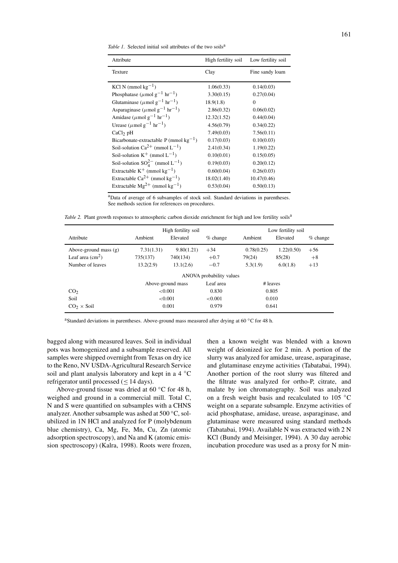*Table 1.* Selected initial soil attributes of the two soils<sup>a</sup>

| Attribute                                                   | High fertility soil | Low fertility soil |
|-------------------------------------------------------------|---------------------|--------------------|
| Texture                                                     | Clay                | Fine sandy loam    |
|                                                             |                     |                    |
| KCl N (mmol $kg^{-1}$ )                                     | 1.06(0.33)          | 0.14(0.03)         |
| Phosphatase ( $\mu$ mol g <sup>-1</sup> hr <sup>-1</sup> )  | 3.30(0.15)          | 0.27(0.04)         |
| Glutaminase ( $\mu$ mol g <sup>-1</sup> hr <sup>-1</sup> )  | 18.9(1.8)           | $\Omega$           |
| Asparaginase ( $\mu$ mol g <sup>-1</sup> hr <sup>-1</sup> ) | 2.86(0.32)          | 0.06(0.02)         |
| Amidase ( $\mu$ mol g <sup>-1</sup> hr <sup>-1</sup> )      | 12.32(1.52)         | 0.44(0.04)         |
| Urease ( $\mu$ mol g <sup>-1</sup> hr <sup>-1</sup> )       | 4.56(0.79)          | 0.34(0.22)         |
| $CaCl2$ pH                                                  | 7.49(0.03)          | 7.56(0.11)         |
| Bicarbonate-extractable P (mmol $kg^{-1}$ )                 | 0.17(0.03)          | 0.10(0.03)         |
| Soil-solution $Ca^{2+}$ (mmol $L^{-1}$ )                    | 2.41(0.34)          | 1.19(0.22)         |
| Soil-solution $K^+$ (mmol $L^{-1}$ )                        | 0.10(0.01)          | 0.15(0.05)         |
| Soil-solution $SO_4^{2-}$ (mmol L <sup>-1</sup> )           | 0.19(0.03)          | 0.20(0.12)         |
| Extractable $K^+$ (mmol kg <sup>-1</sup> )                  | 0.60(0.04)          | 0.26(0.03)         |
| Extractable $Ca^{2+}$ (mmol kg <sup>-1</sup> )              | 18.02(1.40)         | 10.47(0.46)        |
| Extractable $Mg^{2+}$ (mmol kg <sup>-1</sup> )              | 0.53(0.04)          | 0.50(0.13)         |

aData of average of 6 subsamples of stock soil. Standard deviations in parentheses. See methods section for references on procedures.

*Table 2.* Plant growth responses to atmospheric carbon dioxide enrichment for high and low fertility soils<sup>a</sup>

|                           |                  | High fertility soil |                          |            | Low fertility soil |            |  |  |
|---------------------------|------------------|---------------------|--------------------------|------------|--------------------|------------|--|--|
| Attribute                 | Ambient          | Elevated            | $%$ change               | Ambient    | Elevated           | $%$ change |  |  |
| Above-ground mass $(g)$   | 7.31(1.31)       | 9.80(1.21)          | $+34$                    | 0.78(0.25) | 1.22(0.50)         | $+56$      |  |  |
| Leaf area $\text{cm}^2$ ) | 735(137)         | 740(134)            | $+0.7$                   | 79(24)     | 85(28)             | $+8$       |  |  |
| Number of leaves          | 13.2(2.9)        | 13.1(2.6)           | $-0.7$                   | 5.3(1.9)   | 6.0(1.8)           | $+13$      |  |  |
|                           |                  |                     | ANOVA probability values |            |                    |            |  |  |
|                           |                  | Above-ground mass   | Leaf area                |            | # leaves           |            |  |  |
| CO <sub>2</sub>           | < 0.001<br>0.830 |                     | 0.805                    |            |                    |            |  |  |
| Soil                      |                  | < 0.001             | < 0.001                  | 0.010      |                    |            |  |  |
| $CO2 \times$ Soil         |                  | 0.001               | 0.979                    |            | 0.641              |            |  |  |

<sup>a</sup>Standard deviations in parentheses. Above-ground mass measured after drying at 60 °C for 48 h.

bagged along with measured leaves. Soil in individual pots was homogenized and a subsample reserved. All samples were shipped overnight from Texas on dry ice to the Reno, NV USDA-Agricultural Research Service soil and plant analysis laboratory and kept in a 4 °C refrigerator until processed ( $\leq$  14 days).

Above-ground tissue was dried at 60 ◦C for 48 h, weighed and ground in a commercial mill. Total C, N and S were quantified on subsamples with a CHNS analyzer. Another subsample was ashed at 500 ◦C, solubilized in 1N HCl and analyzed for P (molybdenum blue chemistry), Ca, Mg, Fe, Mn, Cu, Zn (atomic adsorption spectroscopy), and Na and K (atomic emission spectroscopy) (Kalra, 1998). Roots were frozen, then a known weight was blended with a known weight of deionized ice for 2 min. A portion of the slurry was analyzed for amidase, urease, asparaginase, and glutaminase enzyme activities (Tabatabai, 1994). Another portion of the root slurry was filtered and the filtrate was analyzed for ortho-P, citrate, and malate by ion chromatography. Soil was analyzed on a fresh weight basis and recalculated to 105 ◦C weight on a separate subsample. Enzyme activities of acid phosphatase, amidase, urease, asparaginase, and glutaminase were measured using standard methods (Tabatabai, 1994). Available N was extracted with 2 N KCl (Bundy and Meisinger, 1994). A 30 day aerobic incubation procedure was used as a proxy for N min-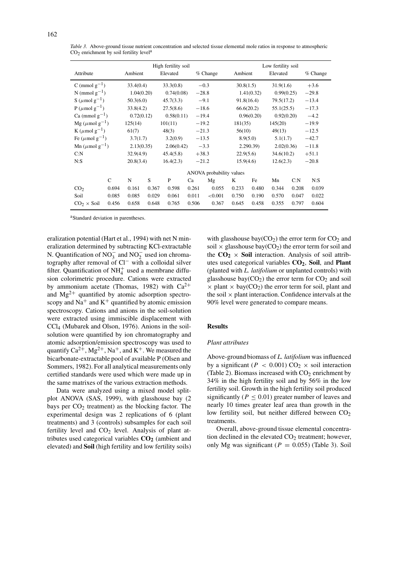|                                  |               |            |       | High fertility soil |         |                          |           |            | Low fertility soil |       |            |
|----------------------------------|---------------|------------|-------|---------------------|---------|--------------------------|-----------|------------|--------------------|-------|------------|
| Attribute                        |               | Ambient    |       | Elevated            |         | $%$ Change               | Ambient   |            | Elevated           |       | $%$ Change |
| C (mmol $g^{-1}$ )               |               | 33.4(0.4)  |       | 33.3(0.8)           |         | $-0.3$                   | 30.8(1.5) |            | 31.9(1.6)          |       | $+3.6$     |
| N (mmol $g^{-1}$ )               |               | 1.04(0.20) |       | 0.74(0.08)          | $-28.8$ |                          |           | 1.41(0.32) | 0.99(0.25)         |       | $-29.8$    |
| S ( $\mu$ mol g <sup>-1</sup> )  |               | 50.3(6.0)  |       | 45.7(3.3)           |         | $-9.1$                   |           | 91.8(16.4) | 79.5(17.2)         |       | $-13.4$    |
| $P(\mu \text{mol g}^{-1})$       |               | 33.8(4.2)  |       | 27.5(8.6)           |         | $-18.6$                  |           | 66.6(20.2) | 55.1(25.5)         |       | $-17.3$    |
| Ca (mmol $g^{-1}$ )              |               | 0.72(0.12) |       | 0.58(0.11)          |         | $-19.4$                  |           | 0.96(0.20) | 0.92(0.20)         |       | $-4.2$     |
| Mg ( $\mu$ mol g <sup>-1</sup> ) |               | 125(14)    |       | 101(11)             |         | $-19.2$                  | 181(35)   |            | 145(20)            |       | $-19.9$    |
| K ( $\mu$ mol g <sup>-1</sup> )  |               | 61(7)      |       | 48(3)               | $-21.3$ |                          | 56(10)    |            | 49(13)             |       | $-12.5$    |
| Fe $(\mu$ mol g <sup>-1</sup> )  |               | 3.7(1.7)   |       | 3.2(0.9)            | $-13.5$ |                          |           | 8.9(5.0)   | 5.1(1.7)           |       | $-42.7$    |
| Mn ( $\mu$ mol g <sup>-1</sup> ) |               | 2.13(0.35) |       | 2.06(0.42)          |         | $-3.3$                   |           | 2.290.39   | 2.02(0.36)         |       | $-11.8$    |
| C: N                             |               | 32.9(4.9)  |       | 45.4(5.8)           | $+38.3$ |                          | 22.9(5.6) |            | 34.6(10.2)         |       | $+51.1$    |
| N: S                             |               | 20.8(3.4)  |       | 16.4(2.3)           | $-21.2$ |                          | 15.9(4.6) |            | 12.6(2.3)          |       | $-20.8$    |
|                                  |               |            |       |                     |         | ANOVA probability values |           |            |                    |       |            |
|                                  | $\mathcal{C}$ | N          | S     | P                   | Ca      | Mg                       | K         | Fe         | Mn                 | C: N  | N:         |
| CO <sub>2</sub>                  | 0.694         | 0.161      | 0.367 | 0.598               | 0.261   | 0.055                    | 0.233     | 0.480      | 0.344              | 0.208 | 0.039      |
| Soil                             | 0.085         | 0.085      | 0.029 | 0.061               | 0.011   | < 0.001                  | 0.750     | 0.190      | 0.570              | 0.047 | 0.022      |
| $CO2 \times$ Soil                | 0.456         | 0.658      | 0.648 | 0.765               | 0.506   | 0.367                    | 0.645     | 0.458      | 0.355              | 0.797 | 0.604      |

*Table 3.* Above-ground tissue nutrient concentration and selected tissue elemental mole ratios in response to atmospheric  $CO<sub>2</sub>$  enrichment by soil fertility level<sup>a</sup>

aStandard deviation in parentheses.

eralization potential (Hart et al., 1994) with net N mineralization determined by subtracting KCl-extractable N. Quantification of  $NO_3^-$  and  $NO_2^-$  used ion chromatography after removal of Cl− with a colloidal silver filter. Quantification of  $NH<sub>4</sub><sup>+</sup>$  used a membrane diffusion colorimetric procedure. Cations were extracted by ammonium acetate (Thomas, 1982) with  $Ca^{2+}$ and  $Mg^{2+}$  quantified by atomic adsorption spectroscopy and  $Na<sup>+</sup>$  and  $K<sup>+</sup>$  quantified by atomic emission spectroscopy. Cations and anions in the soil-solution were extracted using immiscible displacement with CCl4 (Mubarek and Olson, 1976). Anions in the soilsolution were quantified by ion chromatography and atomic adsorption/emission spectroscopy was used to quantify  $Ca^{2+}$ ,  $Mg^{2+}$ ,  $Na^{+}$ , and  $K^{+}$ . We measured the bicarbonate-extractable pool of available P (Olsen and Sommers, 1982). For all analytical measurements only certified standards were used which were made up in the same matrixes of the various extraction methods.

Data were analyzed using a mixed model splitplot ANOVA (SAS, 1999), with glasshouse bay (2 bays per  $CO<sub>2</sub>$  treatment) as the blocking factor. The experimental design was 2 replications of 6 (plant treatments) and 3 (controls) subsamples for each soil fertility level and  $CO<sub>2</sub>$  level. Analysis of plant attributes used categorical variables  $CO<sub>2</sub>$  (ambient and elevated) and **Soil** (high fertility and low fertility soils)

with glasshouse bay( $CO<sub>2</sub>$ ) the error term for  $CO<sub>2</sub>$  and soil  $\times$  glasshouse bay(CO<sub>2</sub>) the error term for soil and the  $CO<sub>2</sub> \times$  Soil interaction. Analysis of soil attributes used categorical variables  $CO<sub>2</sub>$ , Soil, and **Plant** (planted with *L. latifolium* or unplanted controls) with glasshouse bay( $CO<sub>2</sub>$ ) the error term for  $CO<sub>2</sub>$  and soil  $\times$  plant  $\times$  bay(CO<sub>2</sub>) the error term for soil, plant and the soil  $\times$  plant interaction. Confidence intervals at the 90% level were generated to compare means.

# **Results**

#### *Plant attributes*

Above-ground biomass of *L. latifolium* was influenced by a significant ( $P < 0.001$ ) CO<sub>2</sub>  $\times$  soil interaction (Table 2). Biomass increased with  $CO<sub>2</sub>$  enrichment by 34% in the high fertility soil and by 56% in the low fertility soil. Growth in the high fertility soil produced significantly ( $P \leq 0.01$ ) greater number of leaves and nearly 10 times greater leaf area than growth in the low fertility soil, but neither differed between  $CO<sub>2</sub>$ treatments.

Overall, above-ground tissue elemental concentration declined in the elevated  $CO<sub>2</sub>$  treatment; however, only Mg was significant ( $P = 0.055$ ) (Table 3). Soil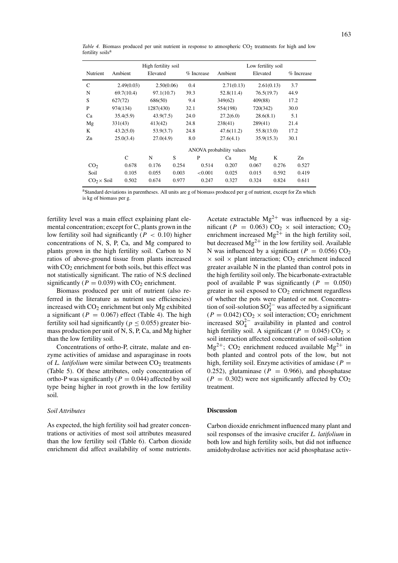| Nutrient          | Ambient    | High fertility soil<br>Elevated |       | % Increase | Ambient                  | Low fertility soil<br>Elevated |            | % Increase |
|-------------------|------------|---------------------------------|-------|------------|--------------------------|--------------------------------|------------|------------|
| $\mathsf{C}$      | 2.49(0.03) | 2.50(0.06)                      |       | 0.4        | 2.71(0.13)               |                                | 2.61(0.13) | 3.7        |
| N                 | 69.7(10.4) | 97.1(10.7)                      |       | 39.3       | 52.8(11.4)               | 76.5(19.7)                     |            | 44.9       |
| S                 | 627(72)    | 686(50)                         |       | 9.4        | 349(62)                  | 409(88)                        |            | 17.2       |
| P                 | 974(134)   | 1287(430)                       |       | 32.1       | 554(198)                 | 720(342)                       |            | 30.0       |
| Ca                | 35.4(5.9)  | 43.9(7.5)                       |       | 24.0       | 27.2(6.0)                | 28.6(8.1)                      |            | 5.1        |
| Mg                | 331(43)    | 413(42)                         |       | 24.8       | 238(41)                  | 289(41)                        |            | 21.4       |
| K                 | 43.2(5.0)  | 53.9(3.7)                       |       | 24.8       | 47.6(11.2)               | 55.8(13.0)                     |            | 17.2       |
| Zn                | 25.0(3.4)  | 27.0(4.9)                       |       | 8.0        | 27.6(4.1)                | 35.9(15.3)                     |            | 30.1       |
|                   |            |                                 |       |            | ANOVA probability values |                                |            |            |
|                   | C          | N                               | S     | P          | Ca                       | Mg                             | K          | Zn         |
| CO <sub>2</sub>   | 0.678      | 0.176                           | 0.254 | 0.514      | 0.207                    | 0.067                          | 0.276      | 0.527      |
| Soil              | 0.105      | 0.055                           | 0.003 | ${<}0.001$ | 0.025                    | 0.015                          | 0.592      | 0.419      |
| $CO2 \times$ Soil | 0.502      | 0.674                           | 0.977 | 0.247      | 0.327                    | 0.324                          | 0.824      | 0.611      |

*Table 4.* Biomass produced per unit nutrient in response to atmospheric  $CO<sub>2</sub>$  treatments for high and low fertility soils<sup>a</sup>

aStandard deviations in parentheses. All units are g of biomass produced per g of nutrient, except for Zn which is kg of biomass per g.

fertility level was a main effect explaining plant elemental concentration; except for C, plants grown in the low fertility soil had significantly (*P <* 0*.*10) higher concentrations of N, S, P, Ca, and Mg compared to plants grown in the high fertility soil. Carbon to N ratios of above-ground tissue from plants increased with  $CO<sub>2</sub>$  enrichment for both soils, but this effect was not statistically significant. The ratio of N:S declined significantly ( $P = 0.039$ ) with CO<sub>2</sub> enrichment.

Biomass produced per unit of nutrient (also referred in the literature as nutrient use efficiencies) increased with  $CO<sub>2</sub>$  enrichment but only Mg exhibited a significant ( $P = 0.067$ ) effect (Table 4). The high fertility soil had significantly ( $p \leq 0.055$ ) greater biomass production per unit of N, S, P, Ca, and Mg higher than the low fertility soil.

Concentrations of ortho-P, citrate, malate and enzyme activities of amidase and asparaginase in roots of *L. latifolium* were similar between CO<sub>2</sub> treatments (Table 5). Of these attributes, only concentration of ortho-P was significantly ( $P = 0.044$ ) affected by soil type being higher in root growth in the low fertility soil.

#### *Soil Attributes*

As expected, the high fertility soil had greater concentrations or activities of most soil attributes measured than the low fertility soil (Table 6). Carbon dioxide enrichment did affect availability of some nutrients.

Acetate extractable  $Mg^{2+}$  was influenced by a significant ( $P = 0.063$ ) CO<sub>2</sub> × soil interaction; CO<sub>2</sub> enrichment increased  $Mg^{2+}$  in the high fertility soil, but decreased  $Mg^{2+}$  in the low fertility soil. Available N was influenced by a significant ( $P = 0.056$ ) CO<sub>2</sub>  $\times$  soil  $\times$  plant interaction; CO<sub>2</sub> enrichment induced greater available N in the planted than control pots in the high fertility soil only. The bicarbonate-extractable pool of available P was significantly  $(P = 0.050)$ greater in soil exposed to  $CO<sub>2</sub>$  enrichment regardless of whether the pots were planted or not. Concentration of soil-solution  $SO_4^{2-}$  was affected by a significant  $(P = 0.042)$  CO<sub>2</sub> × soil interaction; CO<sub>2</sub> enrichment increased  $SO_4^{2-}$  availability in planted and control high fertility soil. A significant ( $P = 0.045$ ) CO<sub>2</sub> × soil interaction affected concentration of soil-solution  $Mg^{2+}$ ; CO<sub>2</sub> enrichment reduced available  $Mg^{2+}$  in both planted and control pots of the low, but not high, fertility soil. Enzyme activities of amidase ( $P =$ 0.252), glutaminase ( $P = 0.966$ ), and phosphatase  $(P = 0.302)$  were not significantly affected by  $CO<sub>2</sub>$ treatment.

#### **Discussion**

Carbon dioxide enrichment influenced many plant and soil responses of the invasive crucifer *L. latifolium* in both low and high fertility soils, but did not influence amidohydrolase activities nor acid phosphatase activ-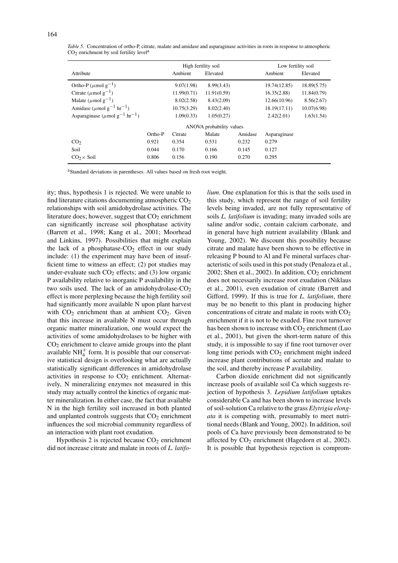| 164 |
|-----|
|-----|

|                                                             |         | High fertility soil |                          |         | Low fertility soil |             |
|-------------------------------------------------------------|---------|---------------------|--------------------------|---------|--------------------|-------------|
| Attribute                                                   |         | Ambient             | Elevated                 |         | Ambient            | Elevated    |
| Ortho-P ( $\mu$ mol g <sup>-1</sup> )                       |         | 9.07(1.98)          | 8.99(3.43)               |         | 19.74(12.85)       | 18.89(5.75) |
| Citrate ( $\mu$ mol g <sup>-1</sup> )                       |         | 11.99(0.71)         | 11.91(0.59)              |         | 16.35(2.88)        | 11.84(0.79) |
| Malate ( $\mu$ mol g <sup>-1</sup> )                        |         | 8.02(2.58)          | 8.43(2.09)               |         | 12.66(10.96)       | 8.56(2.67)  |
| Amidase ( $\mu$ mol g <sup>-1</sup> hr <sup>-1</sup> )      |         | 10.75(3.29)         | 8.02(2.40)               |         | 18.19(17.11)       | 10.07(6.98) |
| Asparaginase ( $\mu$ mol g <sup>-1</sup> hr <sup>-1</sup> ) |         | 1.09(0.33)          | 1.05(0.27)               |         | 2.42(2.01)         | 1.63(1.54)  |
|                                                             |         |                     | ANOVA probability values |         |                    |             |
|                                                             | Ortho-P | Citrate             | Malate                   | Amidase | Asparaginase       |             |
| CO <sub>2</sub>                                             | 0.921   | 0.354               | 0.531                    | 0.232   | 0.279              |             |
| Soil                                                        | 0.044   | 0.170               | 0.166                    | 0.145   | 0.127              |             |
| $CO2 \times$ Soil                                           | 0.806   | 0.156               | 0.190                    | 0.270   | 0.295              |             |

*Table 5.* Concentration of ortho-P, citrate, malate and amidase and asparaginase activities in roots in response to atmospheric  $CO<sub>2</sub>$  enrichment by soil fertility level<sup>a</sup>

<sup>a</sup>Standard deviations in parentheses. All values based on fresh root weight.

ity; thus, hypothesis 1 is rejected. We were unable to find literature citations documenting atmospheric  $CO<sub>2</sub>$ relationships with soil amidohydrolase activities. The literature does; however, suggest that  $CO<sub>2</sub>$  enrichment can significantly increase soil phosphatase activity (Barrett et al., 1998; Kang et al., 2001; Moorhead and Linkins, 1997). Possibilities that might explain the lack of a phosphatase- $CO<sub>2</sub>$  effect in our study include: (1) the experiment may have been of insufficient time to witness an effect; (2) pot studies may under-evaluate such  $CO<sub>2</sub>$  effects; and (3) low organic P availability relative to inorganic P availability in the two soils used. The lack of an amidohydrolase-CO<sub>2</sub> effect is more perplexing because the high fertility soil had significantly more available N upon plant harvest with  $CO<sub>2</sub>$  enrichment than at ambient  $CO<sub>2</sub>$ . Given that this increase in available N must occur through organic matter mineralization, one would expect the activities of some amidohydrolases to be higher with  $CO<sub>2</sub>$  enrichment to cleave amide groups into the plant available  $NH<sub>4</sub><sup>+</sup>$  form. It is possible that our conservative statistical design is overlooking what are actually statistically significant differences in amidohydrolase activities in response to CO<sub>2</sub> enrichment. Alternatively, N mineralizing enzymes not measured in this study may actually control the kinetics of organic matter mineralization. In either case, the fact that available N in the high fertility soil increased in both planted and unplanted controls suggests that  $CO<sub>2</sub>$  enrichment influences the soil microbial community regardless of an interaction with plant root exudation.

Hypothesis 2 is rejected because  $CO<sub>2</sub>$  enrichment did not increase citrate and malate in roots of *L. latifo-* *lium*. One explanation for this is that the soils used in this study, which represent the range of soil fertility levels being invaded, are not fully representative of soils *L. latifolium* is invading; many invaded soils are saline and/or sodic, contain calcium carbonate, and in general have high nutrient availability (Blank and Young, 2002). We discount this possibility because citrate and malate have been shown to be effective in releasing P bound to Al and Fe mineral surfaces characteristic of soils used in this pot study (Penaloza et al., 2002; Shen et al., 2002). In addition,  $CO<sub>2</sub>$  enrichment does not necessarily increase root exudation (Niklaus et al., 2001), even exudation of citrate (Barrett and Gifford, 1999). If this is true for *L. latifolium*, there may be no benefit to this plant in producing higher concentrations of citrate and malate in roots with  $CO<sub>2</sub>$ enrichment if it is not to be exuded. Fine root turnover has been shown to increase with  $CO<sub>2</sub>$  enrichment (Luo et al., 2001), but given the short-term nature of this study, it is impossible to say if fine root turnover over long time periods with  $CO<sub>2</sub>$  enrichment might indeed increase plant contributions of acetate and malate to the soil, and thereby increase P availability.

Carbon dioxide enrichment did not significantly increase pools of available soil Ca which suggests rejection of hypothesis 3. *Lepidium latifolium* uptakes considerable Ca and has been shown to increase levels of soil-solution Ca relative to the grass *Elytrigia elongata* it is competing with, presumably to meet nutritional needs (Blank and Young, 2002). In addition, soil pools of Ca have previously been demonstrated to be affected by  $CO<sub>2</sub>$  enrichment (Hagedorn et al., 2002). It is possible that hypothesis rejection is comprom-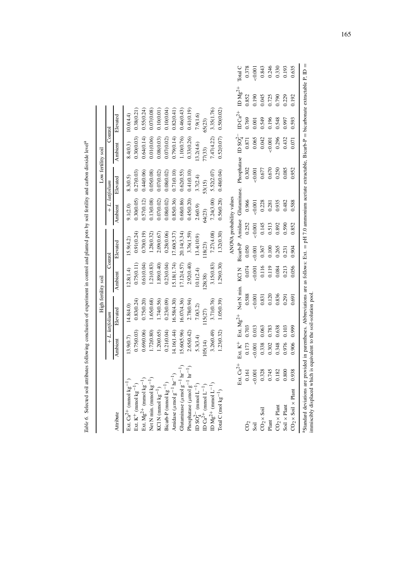| 3.35(1.76)<br>0.55(0.24)<br>0.07(0.08)<br>0.41(0.19)<br>0.50(0.02)<br>0.10(0.01)<br>0.10(0.04)<br>0.82(0.41)<br>0.46(0.43)<br>ID $Ca^{2+}$<br>0.38(0.21)<br>(0.0(4.4)<br>7.9(1.6)<br>Elevated<br>0.769<br>0.549<br>0.196<br>0.548<br>0.997<br>0.001<br>55(23)<br>Control<br>Phosphatase $\rm IDSO_4^{2-}$<br>0.52(0.07)<br>0.33(0.26)<br>0.64(0.14)<br>0.79(0.14)<br>1.10(0.76)<br>0.296<br>0.30(0.03)<br>0.01(0.06)<br>7.47(4.22)<br>0.065<br>0.042<br>0.432<br>0.07(0.02)<br>0.08(0.03)<br>0.871<br>0.001<br>8.4(0.3)<br>13.2(4.6)<br>Ambient<br>77(33)<br>0.085<br>0.670<br>0.250<br>0.302<br>0.677<br>0.001<br>0.48(0.04)<br>0.44(0.06)<br>0.05(0.08)<br>0.08(0.02)<br>0.71(0.10)<br>0.62(0.55)<br>0.41(0.10)<br>0.27(0.03)<br>0.07(0.02)<br>5.52(2.07)<br>3.7(2.4)<br>8.3(0.5)<br>Elevated<br>53(15)<br>+ L. latifolium<br>Bicarb-P Amidase Glutaminase.<br>ANOVA probability values<br>0.56(0.28)<br>0.68(0.86)<br>0.30(0.05)<br>0.13(0.08)<br>0.08(0.02)<br>0.85(0.36)<br>0.45(0.20)<br>0.57(0.12)<br>7.24(3.00)<br>0.07(0.02)<br>0.966<br>0.228<br>0.935<br>0.482<br>0.001<br>0.281<br>Ambient<br>9.1(2.0)<br>2.6(0.9)<br>64(23)<br>0.145<br>0.590<br>0.252<br>0.513<br>0.892<br>0.001<br>1.32(0.30)<br>0.28(0.06)<br>20.14(3.34)<br>3.76(1.59)<br>0.70(0.19)<br>1.28(0.32)<br>7.27(4.08)<br>0.91(0.24)<br>(7.60(5.37))<br>2.090.67<br>13.4(10.9)<br>5.9(4.2)<br>Elevated<br>118(23)<br>0.050<br>0.367<br>0.100<br>0.265<br>0.001<br>0.231<br>Control<br>1.29(0.30)<br>0.23(0.04)<br>5.18(1.74)<br>2.92(0.40)<br>0.75(0.11)<br>0.61(0.04)<br>1.21(0.83)<br>1.89(0.40)<br>3.15(0.83)<br>17.12(4.57)<br>0.116<br>0.074<br>0.119<br>0.213<br>0.084<br>0.001<br>KCI N<br>12.8(1.4)<br>10.1(2.4)<br>Ambient<br>28(38)<br>Net N min.<br>0.588<br>0.836<br>0.120<br>0.291<br>0.001<br>0.831<br>1.05(0.39)<br>1.65(0.68)<br>3.71(0.76)<br>0.75(0.20)<br>1.74(0.56)<br>0.23(0.09)<br>16.58(4.30)<br>16.07(4.36)<br>0.83(0.24)<br>2.78(0.94)<br>(4.8(4.0)<br>7.0(3.2)<br>Elevated<br>15(27)<br>+ L. latifolium<br>Ext. $Mg^{2+}$<br>0.703<br>0.013<br>0.063<br>0.783<br>0.638<br>0.103<br>4.16(1.44)<br>0.21(0.04)<br>1.23(0.32)<br>0.69(0.06)<br>1.72(0.80)<br>5.60(5.96)<br>2.65(0.42)<br>3.26(0.49)<br>0.75(0.03)<br>1.20(0.65)<br>5.3(3.4)<br>3.9(0.7)<br>Ambient<br>05(14)<br>$\mbox{Ext.}\; \mbox{K}^+$<br>0.976<br>0.338<br>0.302<br>0.348<br>0.173<br>0.001<br>Ext. $Ca^{2+}$<br>Phosphatase ( $\mu$ mol g <sup>-1</sup> hr <sup>-1</sup> )<br>Glutaminase ( $\mu$ mol g <sup>-1</sup> hr <sup>-1</sup><br>$0.328$<br>$0.745$<br>$\frac{0.182}{0.800}$<br>0.161<br>0.001<br>Amidase ( $\mu$ mol g <sup>-1</sup> hr <sup>-1</sup><br>Net N min. (mmol $kg^{-1}$ )<br>KCl N (mmol $kg^{-1}$ )<br>Ext. $K^{+}$ (mmol $kg^{-1}$ )<br>Ext. $Mg^{2+}$ (mmol $kg^{-1}$<br>Ext. $Ca^{2+}$ (mmol kg <sup>-</sup><br>ID $Mg^{2+}$ (mmol $L^{-1}$ )<br>Bicarb-P (mmol kg <sup>-1</sup><br>ID $SO_4^{2-}$ (mmol $L^{-1}$ )<br>ID $Ca^{2+}$ (mmol $L^{-1}$ )<br>Total C (mol $kg^{-1}$ )<br>$CO2 \times$ Plant<br>$\mathrm{Soil}\times\mathrm{Plant}$<br>$CO2 \times$ Soil<br>Plant<br>Attribute<br>CO <sub>2</sub><br>Soil |                                           |       |       | High fertility soil |       |       |       |       | Low fertility soil |       |       |           |         |
|----------------------------------------------------------------------------------------------------------------------------------------------------------------------------------------------------------------------------------------------------------------------------------------------------------------------------------------------------------------------------------------------------------------------------------------------------------------------------------------------------------------------------------------------------------------------------------------------------------------------------------------------------------------------------------------------------------------------------------------------------------------------------------------------------------------------------------------------------------------------------------------------------------------------------------------------------------------------------------------------------------------------------------------------------------------------------------------------------------------------------------------------------------------------------------------------------------------------------------------------------------------------------------------------------------------------------------------------------------------------------------------------------------------------------------------------------------------------------------------------------------------------------------------------------------------------------------------------------------------------------------------------------------------------------------------------------------------------------------------------------------------------------------------------------------------------------------------------------------------------------------------------------------------------------------------------------------------------------------------------------------------------------------------------------------------------------------------------------------------------------------------------------------------------------------------------------------------------------------------------------------------------------------------------------------------------------------------------------------------------------------------------------------------------------------------------------------------------------------------------------------------------------------------------------------------------------------------------------------------------------------------------------------------------------------------------------------------------------------------------------------------------------------------------------------------------------------------------------------------------------------------------------------------------------------------------------------------------------------------------------------------------------------------------------------------------------------------------------------------------|-------------------------------------------|-------|-------|---------------------|-------|-------|-------|-------|--------------------|-------|-------|-----------|---------|
|                                                                                                                                                                                                                                                                                                                                                                                                                                                                                                                                                                                                                                                                                                                                                                                                                                                                                                                                                                                                                                                                                                                                                                                                                                                                                                                                                                                                                                                                                                                                                                                                                                                                                                                                                                                                                                                                                                                                                                                                                                                                                                                                                                                                                                                                                                                                                                                                                                                                                                                                                                                                                                                                                                                                                                                                                                                                                                                                                                                                                                                                                                                      |                                           |       |       |                     |       |       |       |       |                    |       |       |           |         |
|                                                                                                                                                                                                                                                                                                                                                                                                                                                                                                                                                                                                                                                                                                                                                                                                                                                                                                                                                                                                                                                                                                                                                                                                                                                                                                                                                                                                                                                                                                                                                                                                                                                                                                                                                                                                                                                                                                                                                                                                                                                                                                                                                                                                                                                                                                                                                                                                                                                                                                                                                                                                                                                                                                                                                                                                                                                                                                                                                                                                                                                                                                                      |                                           |       |       |                     |       |       |       |       |                    |       |       |           |         |
|                                                                                                                                                                                                                                                                                                                                                                                                                                                                                                                                                                                                                                                                                                                                                                                                                                                                                                                                                                                                                                                                                                                                                                                                                                                                                                                                                                                                                                                                                                                                                                                                                                                                                                                                                                                                                                                                                                                                                                                                                                                                                                                                                                                                                                                                                                                                                                                                                                                                                                                                                                                                                                                                                                                                                                                                                                                                                                                                                                                                                                                                                                                      |                                           |       |       |                     |       |       |       |       |                    |       |       |           |         |
|                                                                                                                                                                                                                                                                                                                                                                                                                                                                                                                                                                                                                                                                                                                                                                                                                                                                                                                                                                                                                                                                                                                                                                                                                                                                                                                                                                                                                                                                                                                                                                                                                                                                                                                                                                                                                                                                                                                                                                                                                                                                                                                                                                                                                                                                                                                                                                                                                                                                                                                                                                                                                                                                                                                                                                                                                                                                                                                                                                                                                                                                                                                      |                                           |       |       |                     |       |       |       |       |                    |       |       |           |         |
|                                                                                                                                                                                                                                                                                                                                                                                                                                                                                                                                                                                                                                                                                                                                                                                                                                                                                                                                                                                                                                                                                                                                                                                                                                                                                                                                                                                                                                                                                                                                                                                                                                                                                                                                                                                                                                                                                                                                                                                                                                                                                                                                                                                                                                                                                                                                                                                                                                                                                                                                                                                                                                                                                                                                                                                                                                                                                                                                                                                                                                                                                                                      |                                           |       |       |                     |       |       |       |       |                    |       |       |           |         |
|                                                                                                                                                                                                                                                                                                                                                                                                                                                                                                                                                                                                                                                                                                                                                                                                                                                                                                                                                                                                                                                                                                                                                                                                                                                                                                                                                                                                                                                                                                                                                                                                                                                                                                                                                                                                                                                                                                                                                                                                                                                                                                                                                                                                                                                                                                                                                                                                                                                                                                                                                                                                                                                                                                                                                                                                                                                                                                                                                                                                                                                                                                                      |                                           |       |       |                     |       |       |       |       |                    |       |       |           |         |
|                                                                                                                                                                                                                                                                                                                                                                                                                                                                                                                                                                                                                                                                                                                                                                                                                                                                                                                                                                                                                                                                                                                                                                                                                                                                                                                                                                                                                                                                                                                                                                                                                                                                                                                                                                                                                                                                                                                                                                                                                                                                                                                                                                                                                                                                                                                                                                                                                                                                                                                                                                                                                                                                                                                                                                                                                                                                                                                                                                                                                                                                                                                      |                                           |       |       |                     |       |       |       |       |                    |       |       |           |         |
|                                                                                                                                                                                                                                                                                                                                                                                                                                                                                                                                                                                                                                                                                                                                                                                                                                                                                                                                                                                                                                                                                                                                                                                                                                                                                                                                                                                                                                                                                                                                                                                                                                                                                                                                                                                                                                                                                                                                                                                                                                                                                                                                                                                                                                                                                                                                                                                                                                                                                                                                                                                                                                                                                                                                                                                                                                                                                                                                                                                                                                                                                                                      |                                           |       |       |                     |       |       |       |       |                    |       |       |           |         |
|                                                                                                                                                                                                                                                                                                                                                                                                                                                                                                                                                                                                                                                                                                                                                                                                                                                                                                                                                                                                                                                                                                                                                                                                                                                                                                                                                                                                                                                                                                                                                                                                                                                                                                                                                                                                                                                                                                                                                                                                                                                                                                                                                                                                                                                                                                                                                                                                                                                                                                                                                                                                                                                                                                                                                                                                                                                                                                                                                                                                                                                                                                                      |                                           |       |       |                     |       |       |       |       |                    |       |       |           |         |
|                                                                                                                                                                                                                                                                                                                                                                                                                                                                                                                                                                                                                                                                                                                                                                                                                                                                                                                                                                                                                                                                                                                                                                                                                                                                                                                                                                                                                                                                                                                                                                                                                                                                                                                                                                                                                                                                                                                                                                                                                                                                                                                                                                                                                                                                                                                                                                                                                                                                                                                                                                                                                                                                                                                                                                                                                                                                                                                                                                                                                                                                                                                      |                                           |       |       |                     |       |       |       |       |                    |       |       |           |         |
|                                                                                                                                                                                                                                                                                                                                                                                                                                                                                                                                                                                                                                                                                                                                                                                                                                                                                                                                                                                                                                                                                                                                                                                                                                                                                                                                                                                                                                                                                                                                                                                                                                                                                                                                                                                                                                                                                                                                                                                                                                                                                                                                                                                                                                                                                                                                                                                                                                                                                                                                                                                                                                                                                                                                                                                                                                                                                                                                                                                                                                                                                                                      |                                           |       |       |                     |       |       |       |       |                    |       |       |           |         |
|                                                                                                                                                                                                                                                                                                                                                                                                                                                                                                                                                                                                                                                                                                                                                                                                                                                                                                                                                                                                                                                                                                                                                                                                                                                                                                                                                                                                                                                                                                                                                                                                                                                                                                                                                                                                                                                                                                                                                                                                                                                                                                                                                                                                                                                                                                                                                                                                                                                                                                                                                                                                                                                                                                                                                                                                                                                                                                                                                                                                                                                                                                                      |                                           |       |       |                     |       |       |       |       |                    |       |       |           |         |
|                                                                                                                                                                                                                                                                                                                                                                                                                                                                                                                                                                                                                                                                                                                                                                                                                                                                                                                                                                                                                                                                                                                                                                                                                                                                                                                                                                                                                                                                                                                                                                                                                                                                                                                                                                                                                                                                                                                                                                                                                                                                                                                                                                                                                                                                                                                                                                                                                                                                                                                                                                                                                                                                                                                                                                                                                                                                                                                                                                                                                                                                                                                      |                                           |       |       |                     |       |       |       |       |                    |       |       |           |         |
|                                                                                                                                                                                                                                                                                                                                                                                                                                                                                                                                                                                                                                                                                                                                                                                                                                                                                                                                                                                                                                                                                                                                                                                                                                                                                                                                                                                                                                                                                                                                                                                                                                                                                                                                                                                                                                                                                                                                                                                                                                                                                                                                                                                                                                                                                                                                                                                                                                                                                                                                                                                                                                                                                                                                                                                                                                                                                                                                                                                                                                                                                                                      |                                           |       |       |                     |       |       |       |       |                    |       |       |           |         |
|                                                                                                                                                                                                                                                                                                                                                                                                                                                                                                                                                                                                                                                                                                                                                                                                                                                                                                                                                                                                                                                                                                                                                                                                                                                                                                                                                                                                                                                                                                                                                                                                                                                                                                                                                                                                                                                                                                                                                                                                                                                                                                                                                                                                                                                                                                                                                                                                                                                                                                                                                                                                                                                                                                                                                                                                                                                                                                                                                                                                                                                                                                                      |                                           |       |       |                     |       |       |       |       |                    |       |       |           |         |
|                                                                                                                                                                                                                                                                                                                                                                                                                                                                                                                                                                                                                                                                                                                                                                                                                                                                                                                                                                                                                                                                                                                                                                                                                                                                                                                                                                                                                                                                                                                                                                                                                                                                                                                                                                                                                                                                                                                                                                                                                                                                                                                                                                                                                                                                                                                                                                                                                                                                                                                                                                                                                                                                                                                                                                                                                                                                                                                                                                                                                                                                                                                      |                                           |       |       |                     |       |       |       |       |                    |       |       |           |         |
|                                                                                                                                                                                                                                                                                                                                                                                                                                                                                                                                                                                                                                                                                                                                                                                                                                                                                                                                                                                                                                                                                                                                                                                                                                                                                                                                                                                                                                                                                                                                                                                                                                                                                                                                                                                                                                                                                                                                                                                                                                                                                                                                                                                                                                                                                                                                                                                                                                                                                                                                                                                                                                                                                                                                                                                                                                                                                                                                                                                                                                                                                                                      |                                           |       |       |                     |       |       |       |       |                    |       |       | $ID Mg2+$ | Total C |
|                                                                                                                                                                                                                                                                                                                                                                                                                                                                                                                                                                                                                                                                                                                                                                                                                                                                                                                                                                                                                                                                                                                                                                                                                                                                                                                                                                                                                                                                                                                                                                                                                                                                                                                                                                                                                                                                                                                                                                                                                                                                                                                                                                                                                                                                                                                                                                                                                                                                                                                                                                                                                                                                                                                                                                                                                                                                                                                                                                                                                                                                                                                      |                                           |       |       |                     |       |       |       |       |                    |       |       | 0.852     | 0.378   |
|                                                                                                                                                                                                                                                                                                                                                                                                                                                                                                                                                                                                                                                                                                                                                                                                                                                                                                                                                                                                                                                                                                                                                                                                                                                                                                                                                                                                                                                                                                                                                                                                                                                                                                                                                                                                                                                                                                                                                                                                                                                                                                                                                                                                                                                                                                                                                                                                                                                                                                                                                                                                                                                                                                                                                                                                                                                                                                                                                                                                                                                                                                                      |                                           |       |       |                     |       |       |       |       |                    |       |       | 0.190     | 0.001   |
|                                                                                                                                                                                                                                                                                                                                                                                                                                                                                                                                                                                                                                                                                                                                                                                                                                                                                                                                                                                                                                                                                                                                                                                                                                                                                                                                                                                                                                                                                                                                                                                                                                                                                                                                                                                                                                                                                                                                                                                                                                                                                                                                                                                                                                                                                                                                                                                                                                                                                                                                                                                                                                                                                                                                                                                                                                                                                                                                                                                                                                                                                                                      |                                           |       |       |                     |       |       |       |       |                    |       |       | 0.045     | 0.843   |
|                                                                                                                                                                                                                                                                                                                                                                                                                                                                                                                                                                                                                                                                                                                                                                                                                                                                                                                                                                                                                                                                                                                                                                                                                                                                                                                                                                                                                                                                                                                                                                                                                                                                                                                                                                                                                                                                                                                                                                                                                                                                                                                                                                                                                                                                                                                                                                                                                                                                                                                                                                                                                                                                                                                                                                                                                                                                                                                                                                                                                                                                                                                      |                                           |       |       |                     |       |       |       |       |                    |       |       | 0.725     | 0.246   |
|                                                                                                                                                                                                                                                                                                                                                                                                                                                                                                                                                                                                                                                                                                                                                                                                                                                                                                                                                                                                                                                                                                                                                                                                                                                                                                                                                                                                                                                                                                                                                                                                                                                                                                                                                                                                                                                                                                                                                                                                                                                                                                                                                                                                                                                                                                                                                                                                                                                                                                                                                                                                                                                                                                                                                                                                                                                                                                                                                                                                                                                                                                                      |                                           |       |       |                     |       |       |       |       |                    |       |       | 0.790     | 0.330   |
|                                                                                                                                                                                                                                                                                                                                                                                                                                                                                                                                                                                                                                                                                                                                                                                                                                                                                                                                                                                                                                                                                                                                                                                                                                                                                                                                                                                                                                                                                                                                                                                                                                                                                                                                                                                                                                                                                                                                                                                                                                                                                                                                                                                                                                                                                                                                                                                                                                                                                                                                                                                                                                                                                                                                                                                                                                                                                                                                                                                                                                                                                                                      |                                           |       |       |                     |       |       |       |       |                    |       |       | 0.229     | 0.193   |
|                                                                                                                                                                                                                                                                                                                                                                                                                                                                                                                                                                                                                                                                                                                                                                                                                                                                                                                                                                                                                                                                                                                                                                                                                                                                                                                                                                                                                                                                                                                                                                                                                                                                                                                                                                                                                                                                                                                                                                                                                                                                                                                                                                                                                                                                                                                                                                                                                                                                                                                                                                                                                                                                                                                                                                                                                                                                                                                                                                                                                                                                                                                      | 0.938<br>$CO2 \times$ Soil $\times$ Plant | 0.906 | 0.999 | 0.691               | 0.056 | 0.904 | 0.852 | 0.588 | 0.952              | 0.071 | 0.593 | 0.192     | 0.635   |

Table 6. Selected soil attributes following conclusion of experiment in control and planted pots by soil fertility and carbon dioxide level<sup>a</sup> *Table 6.* Selected soil attributes following conclusion of experiment in control and planted pots by soil fertility and carbon dioxide levela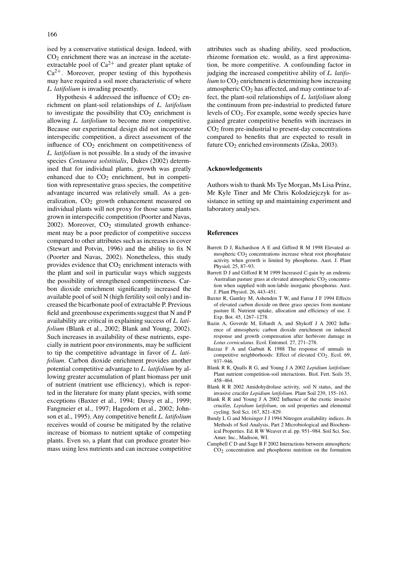ised by a conservative statistical design. Indeed, with  $CO<sub>2</sub>$  enrichment there was an increase in the acetateextractable pool of  $Ca^{2+}$  and greater plant uptake of  $Ca^{2+}$ . Moreover, proper testing of this hypothesis may have required a soil more characteristic of where *L. latifolium* is invading presently.

Hypothesis 4 addressed the influence of  $CO<sub>2</sub>$  enrichment on plant-soil relationships of *L. latifolium* to investigate the possibility that  $CO<sub>2</sub>$  enrichment is allowing *L. latifolium* to become more competitive. Because our experimental design did not incorporate interspecific competition, a direct assessment of the influence of  $CO<sub>2</sub>$  enrichment on competitiveness of *L. latifolium* is not possible. In a study of the invasive species *Centaurea solstitialis*, Dukes (2002) determined that for individual plants, growth was greatly enhanced due to  $CO<sub>2</sub>$  enrichment, but in competition with representative grass species, the competitive advantage incurred was relatively small. As a generalization,  $CO<sub>2</sub>$  growth enhancement measured on individual plants will not proxy for those same plants grown in interspecific competition (Poorter and Navas,  $2002$ ). Moreover,  $CO<sub>2</sub>$  stimulated growth enhancement may be a poor predictor of competitive success compared to other attributes such as increases in cover (Stewart and Potvin, 1996) and the ability to fix N (Poorter and Navas, 2002). Nonetheless, this study provides evidence that  $CO<sub>2</sub>$  enrichment interacts with the plant and soil in particular ways which suggests the possibility of strengthened competitiveness. Carbon dioxide enrichment significantly increased the available pool of soil N (high fertility soil only) and increased the bicarbonate pool of extractable P. Previous field and greenhouse experiments suggest that N and P availability are critical in explaining success of *L. latifolium* (Blank et al., 2002; Blank and Young, 2002). Such increases in availability of these nutrients, especially in nutrient poor environments, may be sufficient to tip the competitive advantage in favor of *L. latifolium*. Carbon dioxide enrichment provides another potential competitive advantage to *L. latifolium* by allowing greater accumulation of plant biomass per unit of nutrient (nutrient use efficiency), which is reported in the literature for many plant species, with some exceptions (Baxter et al., 1994; Davey et al., 1999; Fangmeier et al., 1997; Hagedorn et al., 2002; Johnson et al., 1995). Any competitive benefit *L. latifolium* receives would of course be mitigated by the relative increase of biomass to nutrient uptake of competing plants. Even so, a plant that can produce greater biomass using less nutrients and can increase competitive attributes such as shading ability, seed production, rhizome formation etc. would, as a first approximation, be more competitive. A confounding factor in judging the increased competitive ability of *L. latifo* $lium$  to  $CO<sub>2</sub>$  enrichment is determining how increasing atmospheric  $CO<sub>2</sub>$  has affected, and may continue to affect, the plant-soil relationships of *L. latifolium* along the continuum from pre-industrial to predicted future levels of CO2. For example, some weedy species have gained greater competitive benefits with increases in  $CO<sub>2</sub>$  from pre-industrial to present-day concentrations compared to benefits that are expected to result in future  $CO<sub>2</sub>$  enriched environments (Ziska, 2003).

## **Acknowledgements**

Authors wish to thank Ms Tye Morgan, Ms Lisa Prinz, Mr Kyle Tiner and Mr Chris Kolodziejczyk for assistance in setting up and maintaining experiment and laboratory analyses.

# **References**

- Barrett D J, Richardson A E and Gifford R M 1998 Elevated atmospheric  $CO<sub>2</sub>$  concentrations increase wheat root phosphatase activity when growth is limited by phosphorus. Aust. J. Plant Physiol. 25, 87–93.
- Barrett D J and Gifford R M 1999 Increased C-gain by an endemic Australian pasture grass at elevated atmospheric  $CO<sub>2</sub>$  concentration when supplied with non-labile inorganic phosphorus. Aust. J. Plant Physiol. 26, 443–451.
- Baxter R, Gantley M, Ashenden T W, and Farrar J F 1994 Effects of elevated carbon dioxide on three grass species from montane pasture II. Nutrient uptake, allocation and efficiency of use. J. Exp. Bot. 45, 1267–1278.
- Bazin A, Goverde M, Erhardt A, and Shykoff J A 2002 Influence of atmospheric carbon dioxide enrichment on induced response and growth compensation after herbivore damage in *Lotus corniculatus*. Ecol. Entomol. 27, 271–278.
- Bazzaz F A and Garbutt K 1988 The response of annuals in competitive neighborhoods: Effect of elevated CO<sub>2</sub>. Ecol. 69, 937–946.
- Blank R R, Qualls R G, and Young J A 2002 *Lepidium latifolium*: Plant nutrient competition-soil interactions. Biol. Fert. Soils 35, 458–464.
- Blank R R 2002 Amidohydrolase activity, soil N status, and the invasive crucifer *Lepidium latifolium*. Plant Soil 239, 155–163.
- Blank R R and Young J A 2002 Influence of the exotic invasive crucifer, *Lepidium latifolium*, on soil properties and elemental cycling. Soil Sci. 167, 821–829.
- Bundy L G and Meisinger J J 1994 Nitrogen availability indices. *In* Methods of Soil Analysis, Part 2 Microbiological and Biochemical Properties. Ed. R W Weaver et al. pp. 951–984. Soil Sci. Soc. Amer. Inc., Madison, WI.
- Campbell C D and Sage R F 2002 Interactions between atmospheric  $CO<sub>2</sub>$  concentration and phosphorus nutrition on the formation